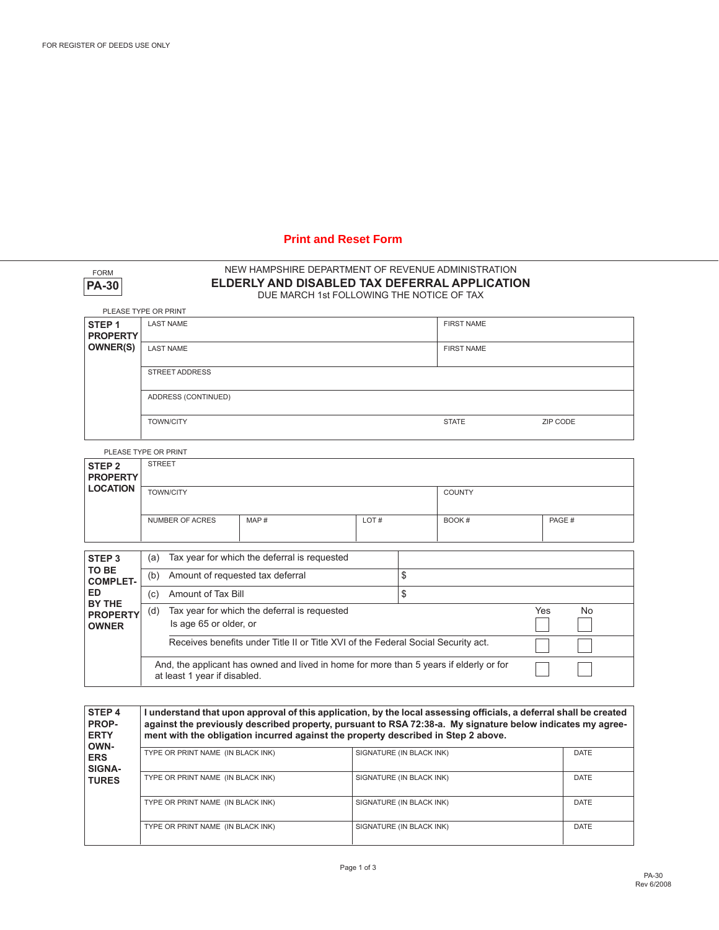# **Print and Reset Form**

| <b>FORM</b><br><b>PA-30</b>                                   | NEW HAMPSHIRE DEPARTMENT OF REVENUE ADMINISTRATION<br>ELDERLY AND DISABLED TAX DEFERRAL APPLICATION<br>DUE MARCH 1st FOLLOWING THE NOTICE OF TAX |                  |  |      |  |                   |                  |  |
|---------------------------------------------------------------|--------------------------------------------------------------------------------------------------------------------------------------------------|------------------|--|------|--|-------------------|------------------|--|
|                                                               | PLEASE TYPE OR PRINT                                                                                                                             |                  |  |      |  |                   |                  |  |
| STEP <sub>1</sub>                                             | <b>LAST NAME</b>                                                                                                                                 |                  |  |      |  | <b>FIRST NAME</b> |                  |  |
| <b>PROPERTY</b><br><b>OWNER(S)</b>                            | <b>LAST NAME</b>                                                                                                                                 |                  |  |      |  | <b>FIRST NAME</b> |                  |  |
|                                                               |                                                                                                                                                  |                  |  |      |  |                   |                  |  |
|                                                               | <b>STREET ADDRESS</b>                                                                                                                            |                  |  |      |  |                   |                  |  |
|                                                               | ADDRESS (CONTINUED)                                                                                                                              |                  |  |      |  |                   |                  |  |
|                                                               |                                                                                                                                                  |                  |  |      |  |                   |                  |  |
|                                                               |                                                                                                                                                  | <b>TOWN/CITY</b> |  |      |  | <b>STATE</b>      | ZIP CODE         |  |
|                                                               | PLEASE TYPE OR PRINT                                                                                                                             |                  |  |      |  |                   |                  |  |
| STEP <sub>2</sub>                                             | <b>STREET</b>                                                                                                                                    |                  |  |      |  |                   |                  |  |
| <b>PROPERTY</b><br><b>LOCATION</b>                            |                                                                                                                                                  |                  |  |      |  |                   |                  |  |
|                                                               | <b>TOWN/CITY</b>                                                                                                                                 |                  |  |      |  | <b>COUNTY</b>     |                  |  |
|                                                               | <b>NUMBER OF ACRES</b><br>MAP#                                                                                                                   |                  |  | LOT# |  | BOOK#             | PAGE #           |  |
|                                                               |                                                                                                                                                  |                  |  |      |  |                   |                  |  |
| STEP <sub>3</sub>                                             | (a)                                                                                                                                              |                  |  |      |  |                   |                  |  |
| TO BE                                                         | Tax year for which the deferral is requested                                                                                                     |                  |  | \$   |  |                   |                  |  |
| <b>COMPLET-</b>                                               | Amount of requested tax deferral<br>(b)                                                                                                          |                  |  |      |  |                   |                  |  |
| <b>ED</b><br><b>BY THE</b><br><b>PROPERTY</b><br><b>OWNER</b> | \$<br>Amount of Tax Bill<br>(c)                                                                                                                  |                  |  |      |  |                   |                  |  |
|                                                               | Tax year for which the deferral is requested<br>(d)<br>Is age 65 or older, or                                                                    |                  |  |      |  |                   | Yes<br><b>No</b> |  |
|                                                               |                                                                                                                                                  |                  |  |      |  |                   |                  |  |
|                                                               | Receives benefits under Title II or Title XVI of the Federal Social Security act.                                                                |                  |  |      |  |                   |                  |  |
|                                                               | And, the applicant has owned and lived in home for more than 5 years if elderly or for<br>at least 1 year if disabled.                           |                  |  |      |  |                   |                  |  |
|                                                               |                                                                                                                                                  |                  |  |      |  |                   |                  |  |

| STEP <sub>4</sub><br><b>PROP-</b><br><b>ERTY</b><br>OWN-<br><b>ERS</b><br>SIGNA-<br><b>TURES</b> | I understand that upon approval of this application, by the local assessing officials, a deferral shall be created<br>against the previously described property, pursuant to RSA 72:38-a. My signature below indicates my agree-<br>ment with the obligation incurred against the property described in Step 2 above. |                          |             |  |  |  |
|--------------------------------------------------------------------------------------------------|-----------------------------------------------------------------------------------------------------------------------------------------------------------------------------------------------------------------------------------------------------------------------------------------------------------------------|--------------------------|-------------|--|--|--|
|                                                                                                  | TYPE OR PRINT NAME (IN BLACK INK)                                                                                                                                                                                                                                                                                     | SIGNATURE (IN BLACK INK) | <b>DATE</b> |  |  |  |
|                                                                                                  | TYPE OR PRINT NAME (IN BLACK INK)                                                                                                                                                                                                                                                                                     | SIGNATURE (IN BLACK INK) | DATE        |  |  |  |
|                                                                                                  | TYPE OR PRINT NAME (IN BLACK INK)                                                                                                                                                                                                                                                                                     | SIGNATURE (IN BLACK INK) | <b>DATE</b> |  |  |  |
|                                                                                                  | TYPE OR PRINT NAME (IN BLACK INK)                                                                                                                                                                                                                                                                                     | SIGNATURE (IN BLACK INK) | DATE        |  |  |  |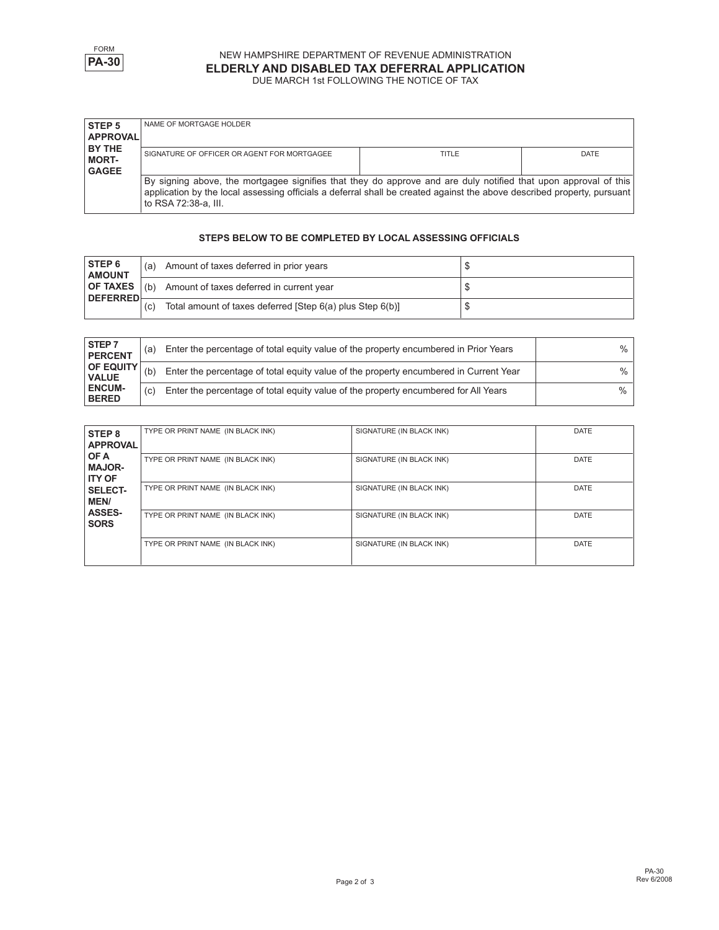

#### NEW HAMPSHIRE DEPARTMENT OF REVENUE ADMINISTRATION **ELDERLY AND DISABLED TAX DEFERRAL APPLICATION** DUE MARCH 1st FOLLOWING THE NOTICE OF TAX

| <b>STEP 5</b><br><b>APPROVAL</b>         | NAME OF MORTGAGE HOLDER                                                                                                                                                                                                                                            |       |             |
|------------------------------------------|--------------------------------------------------------------------------------------------------------------------------------------------------------------------------------------------------------------------------------------------------------------------|-------|-------------|
| I BY THE<br><b>MORT-</b><br><b>GAGEE</b> | SIGNATURE OF OFFICER OR AGENT FOR MORTGAGEE                                                                                                                                                                                                                        | TITLE | <b>DATE</b> |
|                                          | By signing above, the mortgagee signifies that they do approve and are duly notified that upon approval of this<br>application by the local assessing officials a deferral shall be created against the above described property, pursuant<br>to RSA 72:38-a, III. |       |             |

#### **STEPS BELOW TO BE COMPLETED BY LOCAL ASSESSING OFFICIALS**

| <b>STEP 6</b><br><b>AMOUNT</b>     | (a) | Amount of taxes deferred in prior years                  |  |
|------------------------------------|-----|----------------------------------------------------------|--|
| <b>OF TAXES</b><br><b>DEFERRED</b> | (h) | Amount of taxes deferred in current year                 |  |
|                                    | (C) | Total amount of taxes deferred (Step 6(a) plus Step 6(b) |  |

| STEP <sub>7</sub><br><b>PERCENT</b> | (a) | Enter the percentage of total equity value of the property encumbered in Prior Years  | % |
|-------------------------------------|-----|---------------------------------------------------------------------------------------|---|
| <b>OF EQUITY</b><br><b>VALUE</b>    | (b) | Enter the percentage of total equity value of the property encumbered in Current Year | % |
| <b>ENCUM-</b><br><b>BERED</b>       | (c) | Enter the percentage of total equity value of the property encumbered for All Years   | ℅ |

| STEP <sub>8</sub><br><b>APPROVAL</b>   | TYPE OR PRINT NAME (IN BLACK INK) | SIGNATURE (IN BLACK INK) | <b>DATE</b> |
|----------------------------------------|-----------------------------------|--------------------------|-------------|
| OF A<br><b>MAJOR-</b><br><b>ITY OF</b> | TYPE OR PRINT NAME (IN BLACK INK) | SIGNATURE (IN BLACK INK) | <b>DATE</b> |
| <b>SELECT-</b><br><b>MEN/</b>          | TYPE OR PRINT NAME (IN BLACK INK) | SIGNATURE (IN BLACK INK) | <b>DATE</b> |
| <b>ASSES-</b><br><b>SORS</b>           | TYPE OR PRINT NAME (IN BLACK INK) | SIGNATURE (IN BLACK INK) | <b>DATE</b> |
|                                        | TYPE OR PRINT NAME (IN BLACK INK) | SIGNATURE (IN BLACK INK) | <b>DATE</b> |